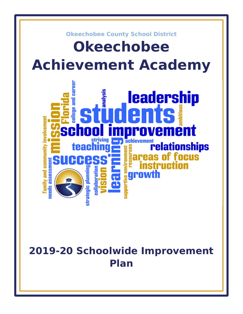

# **2019-20 Schoolwide Improvement Plan**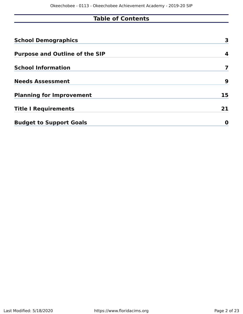# **Table of Contents**

| <b>School Demographics</b>            | 3  |
|---------------------------------------|----|
| <b>Purpose and Outline of the SIP</b> | 4  |
| <b>School Information</b>             |    |
| <b>Needs Assessment</b>               | 9  |
| <b>Planning for Improvement</b>       | 15 |
| <b>Title I Requirements</b>           | 21 |
| <b>Budget to Support Goals</b>        | O  |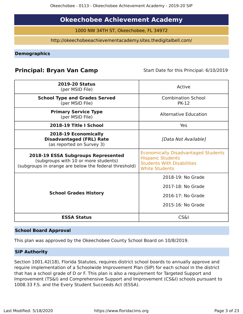# **Okeechobee Achievement Academy**

1000 NW 34TH ST, Okeechobee, FL 34972

http://okeechobeeachievementacademy.sites.thedigitalbell.com/

<span id="page-2-0"></span>**Demographics**

# **Principal: Bryan Van Camp** Start Date for this Principal: 6/10/2019

| <b>2019-20 Status</b><br>(per MSID File)                                                                                            | Active                                                                                                                               |
|-------------------------------------------------------------------------------------------------------------------------------------|--------------------------------------------------------------------------------------------------------------------------------------|
| <b>School Type and Grades Served</b><br>(per MSID File)                                                                             | <b>Combination School</b><br><b>PK-12</b>                                                                                            |
| <b>Primary Service Type</b><br>(per MSID File)                                                                                      | <b>Alternative Education</b>                                                                                                         |
| 2018-19 Title I School                                                                                                              | Yes                                                                                                                                  |
| 2018-19 Economically<br><b>Disadvantaged (FRL) Rate</b><br>(as reported on Survey 3)                                                | [Data Not Available]                                                                                                                 |
| 2018-19 ESSA Subgroups Represented<br>(subgroups with 10 or more students)<br>(subgroups in orange are below the federal threshold) | <b>Economically Disadvantaged Students</b><br><b>Hispanic Students</b><br><b>Students With Disabilities</b><br><b>White Students</b> |
|                                                                                                                                     | 2018-19: No Grade                                                                                                                    |
|                                                                                                                                     | 2017-18: No Grade                                                                                                                    |
| <b>School Grades History</b>                                                                                                        | 2016-17: No Grade                                                                                                                    |
|                                                                                                                                     | 2015-16: No Grade                                                                                                                    |
| <b>ESSA Status</b>                                                                                                                  | <b>CS&amp;I</b>                                                                                                                      |

#### **School Board Approval**

This plan was approved by the Okeechobee County School Board on 10/8/2019.

#### **SIP Authority**

Section 1001.42(18), Florida Statutes, requires district school boards to annually approve and require implementation of a Schoolwide Improvement Plan (SIP) for each school in the district that has a school grade of D or F. This plan is also a requirement for Targeted Support and Improvement (TS&I) and Comprehensive Support and Improvement (CS&I) schools pursuant to 1008.33 F.S. and the Every Student Succeeds Act (ESSA).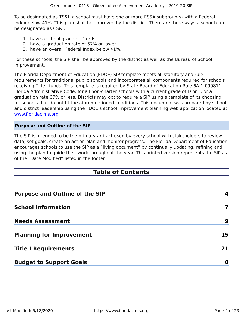To be designated as TS&I, a school must have one or more ESSA subgroup(s) with a Federal Index below 41%. This plan shall be approved by the district. There are three ways a school can be designated as CS&I:

- 1. have a school grade of D or F
- 2. have a graduation rate of 67% or lower
- 3. have an overall Federal Index below 41%.

For these schools, the SIP shall be approved by the district as well as the Bureau of School Improvement.

The Florida Department of Education (FDOE) SIP template meets all statutory and rule requirements for traditional public schools and incorporates all components required for schools receiving Title I funds. This template is required by State Board of Education Rule 6A-1.099811, Florida Administrative Code, for all non-charter schools with a current grade of D or F, or a graduation rate 67% or less. Districts may opt to require a SIP using a template of its choosing for schools that do not fit the aforementioned conditions. This document was prepared by school and district leadership using the FDOE's school improvement planning web application located at [www.floridacims.org.](https://www.floridacims.org)

#### <span id="page-3-0"></span>**Purpose and Outline of the SIP**

The SIP is intended to be the primary artifact used by every school with stakeholders to review data, set goals, create an action plan and monitor progress. The Florida Department of Education encourages schools to use the SIP as a "living document" by continually updating, refining and using the plan to guide their work throughout the year. This printed version represents the SIP as of the "Date Modified" listed in the footer.

# **Table of Contents**

| <b>Purpose and Outline of the SIP</b> | 4  |
|---------------------------------------|----|
| <b>School Information</b>             |    |
| <b>Needs Assessment</b>               | 9  |
| <b>Planning for Improvement</b>       | 15 |
| <b>Title I Requirements</b>           | 21 |
| <b>Budget to Support Goals</b>        | O  |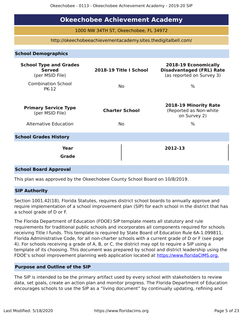# **Okeechobee Achievement Academy**

1000 NW 34TH ST, Okeechobee, FL 34972

http://okeechobeeachievementacademy.sites.thedigitalbell.com/

#### **School Demographics**

| <b>School Type and Grades</b><br><b>Served</b><br>(per MSID File) | 2018-19 Title I School | 2018-19 Economically<br><b>Disadvantaged (FRL) Rate</b><br>(as reported on Survey 3) |
|-------------------------------------------------------------------|------------------------|--------------------------------------------------------------------------------------|
| <b>Combination School</b><br><b>PK-12</b>                         | No.                    | $\%$                                                                                 |
| <b>Primary Service Type</b><br>(per MSID File)                    | <b>Charter School</b>  | 2018-19 Minority Rate<br>(Reported as Non-white<br>on Survey 2)                      |
| <b>Alternative Education</b>                                      | <b>No</b>              | $\%$                                                                                 |
| <b>School Grades History</b>                                      |                        |                                                                                      |
| Year<br><b>Grade</b>                                              |                        | 2012-13                                                                              |
| <b>School Board Approval</b>                                      |                        |                                                                                      |

This plan was approved by the Okeechobee County School Board on 10/8/2019.

#### **SIP Authority**

Section 1001.42(18), Florida Statutes, requires district school boards to annually approve and require implementation of a school improvement plan (SIP) for each school in the district that has a school grade of D or F.

The Florida Department of Education (FDOE) SIP template meets all statutory and rule requirements for traditional public schools and incorporates all components required for schools receiving Title I funds. This template is required by State Board of Education Rule 6A-1.099811, Florida Administrative Code, for all non-charter schools with a current grade of D or F (see page 4). For schools receiving a grade of A, B, or C, the district may opt to require a SIP using a template of its choosing. This document was prepared by school and district leadership using the FDOE's school improvement planning web application located at [https://www.floridaCIMS.org.](https://www.floridacims.org)

#### **Purpose and Outline of the SIP**

The SIP is intended to be the primary artifact used by every school with stakeholders to review data, set goals, create an action plan and monitor progress. The Florida Department of Education encourages schools to use the SIP as a "living document" by continually updating, refining and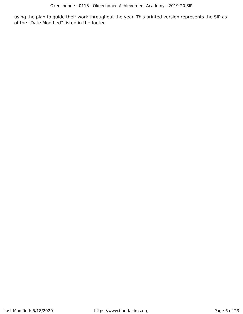using the plan to guide their work throughout the year. This printed version represents the SIP as of the "Date Modified" listed in the footer.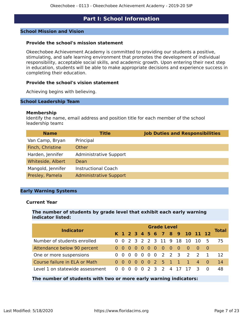### **Part I: School Information**

#### <span id="page-6-0"></span>**School Mission and Vision**

#### **Provide the school's mission statement**

Okeechobee Achievement Academy is committed to providing our students a positive, stimulating, and safe learning environment that promotes the development of individual responsibility, acceptable social skills, and academic growth. Upon entering their next step in education, students will be able to make appropriate decisions and experience success in completing their education.

#### **Provide the school's vision statement**

Achieving begins with believing.

#### **School Leadership Team**

#### **Membership**

Identify the name, email address and position title for each member of the school leadership team**:**

| <b>Name</b>       | <b>Title</b>                  | <b>Job Duties and Responsibilities</b> |
|-------------------|-------------------------------|----------------------------------------|
| Van Camp, Bryan   | Principal                     |                                        |
| Finch, Christine  | Other                         |                                        |
| Harden, Jennifer  | <b>Administrative Support</b> |                                        |
| Whiteside, Albert | Dean                          |                                        |
| Mangold, Jennifer | <b>Instructional Coach</b>    |                                        |
| Presley, Pamela   | <b>Administrative Support</b> |                                        |

#### **Early Warning Systems**

#### **Current Year**

**The number of students by grade level that exhibit each early warning indicator listed:**

| <b>Indicator</b>                | <b>Grade Level</b> |  |  |  |  |  |  |  |  |                       |                         |                                        |  |              |  |
|---------------------------------|--------------------|--|--|--|--|--|--|--|--|-----------------------|-------------------------|----------------------------------------|--|--------------|--|
|                                 |                    |  |  |  |  |  |  |  |  |                       |                         | K 1 2 3 4 5 6 7 8 9 10 11 12           |  | <b>Total</b> |  |
| Number of students enrolled     |                    |  |  |  |  |  |  |  |  |                       |                         | 0 0 2 3 2 2 3 11 9 18 10 10 5          |  | 75           |  |
| Attendance below 90 percent     |                    |  |  |  |  |  |  |  |  | 0 0 0 0 0 0 0 0 0 0 0 |                         | $\begin{array}{ccc} 0 & 0 \end{array}$ |  |              |  |
| One or more suspensions         |                    |  |  |  |  |  |  |  |  |                       | 0 0 0 0 0 0 0 2 2 3 2 2 |                                        |  | 12           |  |
| Course failure in ELA or Math   |                    |  |  |  |  |  |  |  |  |                       |                         | 0 0 0 0 0 0 2 5 1 1 1 4 0              |  | 14           |  |
| Level 1 on statewide assessment |                    |  |  |  |  |  |  |  |  |                       |                         | 0 0 0 0 0 2 3 2 4 17 17 3 0            |  | 48           |  |
|                                 |                    |  |  |  |  |  |  |  |  |                       |                         |                                        |  |              |  |

#### **The number of students with two or more early warning indicators:**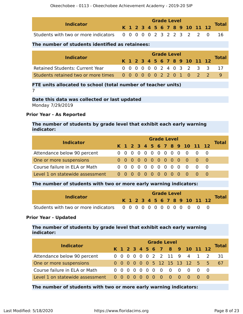| <b>Indicator</b>                                               |  |  |  | <b>Grade Level</b> |  |                              |              |
|----------------------------------------------------------------|--|--|--|--------------------|--|------------------------------|--------------|
|                                                                |  |  |  |                    |  | K 1 2 3 4 5 6 7 8 9 10 11 12 | <b>Total</b> |
| Students with two or more indicators 0 0 0 0 0 2 3 2 2 3 2 2 0 |  |  |  |                    |  |                              |              |

#### **The number of students identified as retainees:**

| <b>Indicator</b>                                              |  | <b>Grade Level</b> |  |  |  |  |  |  |  |  |  |                              |  |                              |  |  |
|---------------------------------------------------------------|--|--------------------|--|--|--|--|--|--|--|--|--|------------------------------|--|------------------------------|--|--|
|                                                               |  |                    |  |  |  |  |  |  |  |  |  | K 1 2 3 4 5 6 7 8 9 10 11 12 |  | <b>Total</b>                 |  |  |
| <b>Retained Students: Current Year</b>                        |  |                    |  |  |  |  |  |  |  |  |  |                              |  | 0 0 0 0 0 0 2 4 0 3 2 3 3 17 |  |  |
| Students retained two or more times 0 0 0 0 0 0 2 2 0 1 0 2 2 |  |                    |  |  |  |  |  |  |  |  |  |                              |  |                              |  |  |

#### **FTE units allocated to school (total number of teacher units)** 7

#### **Date this data was collected or last updated** Monday 7/29/2019

#### **Prior Year - As Reported**

#### **The number of students by grade level that exhibit each early warning indicator:**

| <b>Indicator</b>                |  | <b>Grade Level</b> |  |  |  |  |  |  |  |  |  |                              |  |       |  |  |
|---------------------------------|--|--------------------|--|--|--|--|--|--|--|--|--|------------------------------|--|-------|--|--|
|                                 |  |                    |  |  |  |  |  |  |  |  |  | K 1 2 3 4 5 6 7 8 9 10 11 12 |  | Total |  |  |
| Attendance below 90 percent     |  |                    |  |  |  |  |  |  |  |  |  | 0 0 0 0 0 0 0 0 0 0 0 0 0    |  |       |  |  |
| One or more suspensions         |  |                    |  |  |  |  |  |  |  |  |  | 0 0 0 0 0 0 0 0 0 0 0 0      |  |       |  |  |
| Course failure in ELA or Math   |  |                    |  |  |  |  |  |  |  |  |  | 0 0 0 0 0 0 0 0 0 0 0 0 0    |  |       |  |  |
| Level 1 on statewide assessment |  |                    |  |  |  |  |  |  |  |  |  | 0000000000000                |  |       |  |  |

#### **The number of students with two or more early warning indicators:**

| <b>Indicator</b> |  |  |  | <b>Grade Level</b> |  |  |                              |              |
|------------------|--|--|--|--------------------|--|--|------------------------------|--------------|
|                  |  |  |  |                    |  |  | K 1 2 3 4 5 6 7 8 9 10 11 12 | <b>Total</b> |
|                  |  |  |  |                    |  |  |                              |              |

#### **Prior Year - Updated**

#### **The number of students by grade level that exhibit each early warning indicator:**

| <b>Indicator</b>              |  | <b>Grade Level</b> |  |  |  |  |  |  |  |  |  |                               |  |              |  |  |
|-------------------------------|--|--------------------|--|--|--|--|--|--|--|--|--|-------------------------------|--|--------------|--|--|
|                               |  |                    |  |  |  |  |  |  |  |  |  | K 1 2 3 4 5 6 7 8 9 10 11 12  |  | <b>Total</b> |  |  |
| Attendance below 90 percent   |  |                    |  |  |  |  |  |  |  |  |  | 0 0 0 0 0 0 2 2 11 9 4 1 2    |  | - 31         |  |  |
| One or more suspensions       |  |                    |  |  |  |  |  |  |  |  |  | 0 0 0 0 0 0 5 12 15 13 12 5 5 |  | -67          |  |  |
| Course failure in ELA or Math |  |                    |  |  |  |  |  |  |  |  |  |                               |  |              |  |  |
|                               |  |                    |  |  |  |  |  |  |  |  |  |                               |  |              |  |  |

**The number of students with two or more early warning indicators:**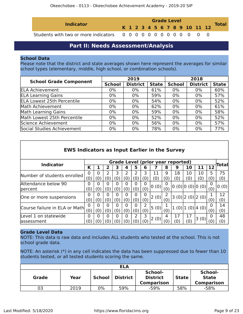| <b>Indicator</b> |  |  |  | <b>Grade Level</b> |  |  |                              | <b>Total</b> |
|------------------|--|--|--|--------------------|--|--|------------------------------|--------------|
|                  |  |  |  |                    |  |  | K 1 2 3 4 5 6 7 8 9 10 11 12 |              |
|                  |  |  |  |                    |  |  |                              |              |

## **Part II: Needs Assessment/Analysis**

#### <span id="page-8-0"></span>**School Data**

Please note that the district and state averages shown here represent the averages for similar school types (elementary, middle, high school, or combination schools).

|                                   |               | 2019            |              | 2018          |                 |              |  |
|-----------------------------------|---------------|-----------------|--------------|---------------|-----------------|--------------|--|
| <b>School Grade Component</b>     | <b>School</b> | <b>District</b> | <b>State</b> | <b>School</b> | <b>District</b> | <b>State</b> |  |
| <b>ELA Achievement</b>            | $0\%$         | $0\%$           | 61%          | $0\%$         | 0%              | 60%          |  |
| <b>ELA Learning Gains</b>         | $0\%$         | $0\%$           | 59%          | $0\%$         | 0%              | 57%          |  |
| <b>ELA Lowest 25th Percentile</b> | 0%            | $0\%$           | 54%          | 0%            | 0%              | 52%          |  |
| Math Achievement                  | $0\%$         | $0\%$           | 62%          | $0\%$         | $0\%$           | 61%          |  |
| Math Learning Gains               | $0\%$         | $0\%$           | 59%          | 0%            | 0%              | 58%          |  |
| Math Lowest 25th Percentile       | $0\%$         | $0\%$           | 52%          | 0%            | 0%              | 52%          |  |
| Science Achievement               | $0\%$         | $0\%$           | 56%          | 0%            | 0%              | 57%          |  |
| Social Studies Achievement        | $0\%$         | $0\%$           | 78%          | $0\%$         | 0%              | 77%          |  |

| <b>EWS Indicators as Input Earlier in the Survey</b> |     |     |     |     |     |     |          |                                          |          |     |                          |      |          |       |
|------------------------------------------------------|-----|-----|-----|-----|-----|-----|----------|------------------------------------------|----------|-----|--------------------------|------|----------|-------|
|                                                      |     |     |     |     |     |     |          | <b>Grade Level (prior year reported)</b> |          |     |                          |      |          |       |
| <b>Indicator</b>                                     | К   |     |     | 3   |     | 5   | 6        |                                          | 8        | 9   | 10                       | 11   | 12       | Total |
| Number of students enrolled                          |     | 0   | 2   | 3   | 2   |     | 3        | 11                                       | 9        | 18  | 10                       | 10   | 5        | 75    |
|                                                      |     | (0) | 0   | 0)  | (0) | (0) | (0)      | (0)                                      | (0)      | (0) | (0)                      | (0)  | (0)      | (0)   |
| Attendance below 90                                  | 0   | 0   |     | O   | 0   | O   | $\Omega$ | 0(0)                                     | 0        |     | 0(0) 0(0) 0(0)           |      | 0        | 0(0)  |
| percent                                              | (0) | (0) | (0) | (0) | (0) | (0) | (0)      |                                          | (0)      |     |                          |      | (0)      |       |
|                                                      | O   | O   |     | O   | 0   | 0   | $\Omega$ | 2(0)                                     |          |     | 3(0) 2(0) 2(0)           |      |          | 12    |
| One or more suspensions                              | (0) | (0) | (0) | (0) | (0) | (0) | (0)      |                                          | (0)      |     |                          |      | (0)      | (0)   |
| Course failure in ELA or Math                        | O   | n   |     | O   | 0   | 0   |          | 5(0)                                     |          |     |                          |      | 0        | 14    |
|                                                      |     | (0) | (0) | (0) | (0) | (0) | (0)      |                                          | (0)      |     | $1(0)$   $1(0)$   $4(0)$ |      | (0)      | (0)   |
| Level 1 on statewide                                 |     | 0   |     | O   | 0   |     | 3        |                                          | 4        | 17  | 17                       |      | $\Omega$ | 48    |
| lassessment                                          | 0)  |     |     |     |     |     | (0)      | 2(0)                                     | $\alpha$ | (0) | (0)                      | 3(0) |          | (0)   |

#### **Grade Level Data**

NOTE: This data is raw data and includes ALL students who tested at the school. This is not school grade data.

NOTE: An asterisk (\*) in any cell indicates the data has been suppressed due to fewer than 10 students tested, or all tested students scoring the same.

| <b>ELA</b> |      |               |          |                                                 |              |                                              |  |  |  |
|------------|------|---------------|----------|-------------------------------------------------|--------------|----------------------------------------------|--|--|--|
| Grade      | Year | <b>School</b> | District | School-<br><b>District</b><br><b>Comparison</b> | <b>State</b> | School-<br><b>State</b><br><b>Comparison</b> |  |  |  |
| 03         | 2019 | 0%            | 59%      | $-59%$                                          | 58%          | -58%                                         |  |  |  |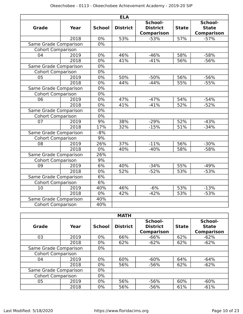|                          |             |               | <b>ELA</b>      |                                                 |              |                                              |
|--------------------------|-------------|---------------|-----------------|-------------------------------------------------|--------------|----------------------------------------------|
| <b>Grade</b>             | <b>Year</b> | <b>School</b> | <b>District</b> | School-<br><b>District</b><br><b>Comparison</b> | <b>State</b> | School-<br><b>State</b><br><b>Comparison</b> |
|                          | 2018        | 0%            | 53%             | $-53%$                                          | 57%          | $-57%$                                       |
| Same Grade Comparison    |             | $0\%$         |                 |                                                 |              |                                              |
| <b>Cohort Comparison</b> |             |               |                 |                                                 |              |                                              |
| 04                       | 2019        | 0%            | 46%             | $-46%$                                          | 58%          | $-58%$                                       |
|                          | 2018        | 0%            | 41%             | $-41%$                                          | 56%          | $-56%$                                       |
| Same Grade Comparison    |             | $0\%$         |                 |                                                 |              |                                              |
| <b>Cohort Comparison</b> |             | $0\%$         |                 |                                                 |              |                                              |
| 05                       | 2019        | $0\%$         | 50%             | $-50%$                                          | 56%          | $-56%$                                       |
|                          | 2018        | $0\%$         | 44%             | $-44%$                                          | 55%          | $-55%$                                       |
| Same Grade Comparison    |             | $0\%$         |                 |                                                 |              |                                              |
| <b>Cohort Comparison</b> |             | $0\%$         |                 |                                                 |              |                                              |
| 06                       | 2019        | $0\%$         | 47%             | $-47%$                                          | 54%          | $-54%$                                       |
|                          | 2018        | 0%            | 41%             | $-41%$                                          | 52%          | $-52%$                                       |
| Same Grade Comparison    |             | $0\%$         |                 |                                                 |              |                                              |
| <b>Cohort Comparison</b> |             | $0\%$         |                 |                                                 |              |                                              |
| 07                       | 2019        | 9%            | 38%             | $-29%$                                          | 52%          | $-43%$                                       |
|                          | 2018        | 17%           | 32%             | $-15%$                                          | 51%          | $-34%$                                       |
| Same Grade Comparison    |             | $-8%$         |                 |                                                 |              |                                              |
| <b>Cohort Comparison</b> |             | 9%            |                 |                                                 |              |                                              |
| $\overline{08}$          | 2019        | 26%           | 37%             | $-11%$                                          | 56%          | $-30%$                                       |
|                          | 2018        | $0\%$         | 40%             | $-40%$                                          | 58%          | $-58%$                                       |
| Same Grade Comparison    |             | 26%           |                 |                                                 |              |                                              |
| <b>Cohort Comparison</b> |             | 9%            |                 |                                                 |              |                                              |
| 09                       | 2019        | 6%            | 40%             | $-34%$                                          | 55%          | $-49%$                                       |
|                          | 2018        | $0\%$         | 52%             | $-52%$                                          | 53%          | $-53%$                                       |
| Same Grade Comparison    |             | 6%            |                 |                                                 |              |                                              |
| <b>Cohort Comparison</b> |             | 6%            |                 |                                                 |              |                                              |
| 10                       | 2019        | 40%           | 46%             | $-6%$                                           | 53%          | $-13%$                                       |
|                          | 2018        | $0\%$         | 42%             | $-42%$                                          | 53%          | $-53%$                                       |
| Same Grade Comparison    |             | 40%           |                 |                                                 |              |                                              |
| <b>Cohort Comparison</b> |             | 40%           |                 |                                                 |              |                                              |

|                          |      |               | <b>MATH</b>     |                                                 |              |                                              |
|--------------------------|------|---------------|-----------------|-------------------------------------------------|--------------|----------------------------------------------|
| Grade                    | Year | <b>School</b> | <b>District</b> | School-<br><b>District</b><br><b>Comparison</b> | <b>State</b> | School-<br><b>State</b><br><b>Comparison</b> |
| 03                       | 2019 | $0\%$         | 66%             | $-66%$                                          | 62%          | $-62%$                                       |
| 2018                     |      | $0\%$         | 62%             | $-62%$                                          | 62%          | $-62%$                                       |
| Same Grade Comparison    |      | $0\%$         |                 |                                                 |              |                                              |
| <b>Cohort Comparison</b> |      |               |                 |                                                 |              |                                              |
| 04                       | 2019 | $0\%$         | 60%             | $-60%$                                          | 64%          | $-64%$                                       |
|                          | 2018 | $0\%$         | 56%             | $-56%$                                          | 62%          | $-62%$                                       |
| Same Grade Comparison    |      | $0\%$         |                 |                                                 |              |                                              |
| <b>Cohort Comparison</b> |      | $0\%$         |                 |                                                 |              |                                              |
| 05                       | 2019 | $0\%$         | 56%             | $-56%$                                          | 60%          | $-60%$                                       |
|                          | 2018 | $0\%$         | 56%             | $-56%$                                          | 61%          | $-61%$                                       |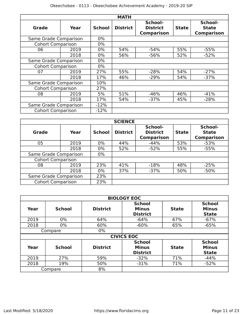|                          |      |               | <b>MATH</b>     |                                                                 |     |                                              |
|--------------------------|------|---------------|-----------------|-----------------------------------------------------------------|-----|----------------------------------------------|
| Grade                    | Year | <b>School</b> | <b>District</b> | School-<br><b>District</b><br><b>State</b><br><b>Comparison</b> |     | School-<br><b>State</b><br><b>Comparison</b> |
| Same Grade Comparison    |      | $0\%$         |                 |                                                                 |     |                                              |
| <b>Cohort Comparison</b> |      | $0\%$         |                 |                                                                 |     |                                              |
| 06                       | 2019 | $0\%$         | 54%             | $-54%$                                                          | 55% | $-55%$                                       |
|                          | 2018 | $0\%$         | 56%             | $-56%$                                                          | 52% | $-52%$                                       |
| Same Grade Comparison    |      | $0\%$         |                 |                                                                 |     |                                              |
| <b>Cohort Comparison</b> |      | $0\%$         |                 |                                                                 |     |                                              |
| 07                       | 2019 | 27%           | 55%             | $-28%$                                                          | 54% | $-27%$                                       |
|                          | 2018 | 17%           | 46%             | $-29%$                                                          | 54% | $-37%$                                       |
| Same Grade Comparison    |      | 10%           |                 |                                                                 |     |                                              |
| <b>Cohort Comparison</b> |      | 27%           |                 |                                                                 |     |                                              |
| 08                       | 2019 | 5%            | 51%             | $-46%$                                                          | 46% | $-41%$                                       |
|                          | 2018 | 17%           | 54%             | $-37%$                                                          | 45% | $-28%$                                       |
| Same Grade Comparison    |      | $-12%$        |                 |                                                                 |     |                                              |
| <b>Cohort Comparison</b> |      | $-12%$        |                 |                                                                 |     |                                              |

|                          | <b>SCIENCE</b> |               |                 |                                                 |              |                                              |  |  |  |  |
|--------------------------|----------------|---------------|-----------------|-------------------------------------------------|--------------|----------------------------------------------|--|--|--|--|
| Grade<br>Year            |                | <b>School</b> | <b>District</b> | School-<br><b>District</b><br><b>Comparison</b> | <b>State</b> | School-<br><b>State</b><br><b>Comparison</b> |  |  |  |  |
| 05                       | 2019           | $0\%$         | 44%             | $-44%$                                          | 53%          | $-53%$                                       |  |  |  |  |
|                          | 2018           | $0\%$         | 52%             | $-52%$                                          | 55%          | $-55%$                                       |  |  |  |  |
| Same Grade Comparison    |                | $0\%$         |                 |                                                 |              |                                              |  |  |  |  |
| <b>Cohort Comparison</b> |                |               |                 |                                                 |              |                                              |  |  |  |  |
| 08                       | 2019           | 23%           | 41%             | $-18%$                                          | 48%          | $-25%$                                       |  |  |  |  |
|                          | 2018           | $0\%$         | 37%             | $-37%$                                          | 50%          | $-50%$                                       |  |  |  |  |
| Same Grade Comparison    |                | 23%           |                 |                                                 |              |                                              |  |  |  |  |
| <b>Cohort Comparison</b> |                | 23%           |                 |                                                 |              |                                              |  |  |  |  |

|      | <b>BIOLOGY EOC</b> |                 |                                                  |              |                                               |  |  |  |  |  |
|------|--------------------|-----------------|--------------------------------------------------|--------------|-----------------------------------------------|--|--|--|--|--|
| Year | <b>School</b>      | <b>District</b> | <b>School</b><br><b>Minus</b><br><b>District</b> | <b>State</b> | <b>School</b><br><b>Minus</b><br><b>State</b> |  |  |  |  |  |
| 2019 | $0\%$              | 64%             | $-64%$                                           | 67%          | $-67%$                                        |  |  |  |  |  |
| 2018 | $0\%$              | 60%             | $-60%$                                           | 65%          | $-65%$                                        |  |  |  |  |  |
|      | Compare            | $0\%$           |                                                  |              |                                               |  |  |  |  |  |
|      |                    |                 | <b>CIVICS EOC</b>                                |              |                                               |  |  |  |  |  |
| Year | <b>School</b>      | <b>District</b> | <b>School</b><br><b>Minus</b><br><b>District</b> | <b>State</b> | <b>School</b><br><b>Minus</b><br><b>State</b> |  |  |  |  |  |
| 2019 | 27%                | 59%             | $-32%$                                           | 71%          | $-44%$                                        |  |  |  |  |  |
| 2018 | 19%                | 50%             | $-31%$                                           | 71%          | $-52%$                                        |  |  |  |  |  |
|      | Compare            | 8%              |                                                  |              |                                               |  |  |  |  |  |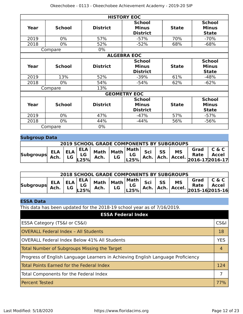|      | <b>HISTORY EOC</b> |                 |                                                  |              |                                               |  |  |  |  |
|------|--------------------|-----------------|--------------------------------------------------|--------------|-----------------------------------------------|--|--|--|--|
| Year | <b>School</b>      | <b>District</b> | <b>School</b><br><b>Minus</b><br><b>District</b> | <b>State</b> | <b>School</b><br><b>Minus</b><br><b>State</b> |  |  |  |  |
| 2019 | $0\%$              | 57%             | $-57%$                                           | 70%          | $-70%$                                        |  |  |  |  |
| 2018 | $0\%$              | 52%             | $-52%$                                           | 68%          | $-68%$                                        |  |  |  |  |
|      | Compare            | $0\%$           |                                                  |              |                                               |  |  |  |  |
|      |                    |                 | <b>ALGEBRA EOC</b>                               |              |                                               |  |  |  |  |
| Year | <b>School</b>      | <b>District</b> | <b>School</b><br><b>Minus</b><br><b>District</b> | <b>State</b> | <b>School</b><br><b>Minus</b><br><b>State</b> |  |  |  |  |
| 2019 | 13%                | 52%             | $-39%$                                           | 61%          | $-48%$                                        |  |  |  |  |
| 2018 | $0\%$              | 54%             | $-54%$                                           | 62%          | $-62%$                                        |  |  |  |  |
|      | Compare            | 13%             |                                                  |              |                                               |  |  |  |  |
|      |                    |                 | <b>GEOMETRY EOC</b>                              |              |                                               |  |  |  |  |
| Year | <b>School</b>      | <b>District</b> | <b>School</b><br><b>Minus</b><br><b>District</b> | <b>State</b> | <b>School</b><br><b>Minus</b><br><b>State</b> |  |  |  |  |
| 2019 | $0\%$              | 47%             | $-47%$                                           | 57%          | $-57%$                                        |  |  |  |  |
| 2018 | $0\%$              | 44%             | $-44%$                                           | 56%          | $-56%$                                        |  |  |  |  |
|      | Compare            | $0\%$           |                                                  |              |                                               |  |  |  |  |

### **Subgroup Data**

| <b>2019 SCHOOL GRADE COMPONENTS BY SUBGROUPS</b> |  |  |  |  |  |  |  |  |  |                                                                                                          |  |
|--------------------------------------------------|--|--|--|--|--|--|--|--|--|----------------------------------------------------------------------------------------------------------|--|
| <b>Subgroups</b>                                 |  |  |  |  |  |  |  |  |  | ELA ELA ELA Math Math Math Sci SS MS Grad C & C<br>Ach. LG LG Ach. LG LG Ach. Ach. Accel. 2016-172016-17 |  |

| <b>2018 SCHOOL GRADE COMPONENTS BY SUBGROUPS</b> |  |  |  |  |  |  |  |  |  |                                                                                                            |  |
|--------------------------------------------------|--|--|--|--|--|--|--|--|--|------------------------------------------------------------------------------------------------------------|--|
| <b>Subgroups</b>                                 |  |  |  |  |  |  |  |  |  | ELA ELA ELA Math Math Math Sci SS MS Grad C&C<br>Ach. LG L3% Ach. LG L35% Ach. Ach. Accel. 2015-16 2015-16 |  |

### **ESSA Data**

This data has been updated for the 2018-19 school year as of 7/16/2019.

| <b>ESSA Federal Index</b>                                                       |                 |
|---------------------------------------------------------------------------------|-----------------|
| ESSA Category (TS&I or CS&I)                                                    | <b>CS&amp;I</b> |
| <b>OVERALL Federal Index - All Students</b>                                     | 18              |
| OVERALL Federal Index Below 41% All Students                                    | <b>YES</b>      |
| Total Number of Subgroups Missing the Target                                    |                 |
| Progress of English Language Learners in Achieving English Language Proficiency |                 |
| Total Points Earned for the Federal Index                                       | 124             |
| Total Components for the Federal Index                                          | 7               |
| <b>Percent Tested</b>                                                           | 77%             |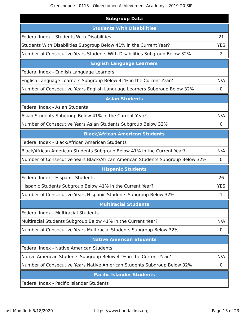| <b>Subgroup Data</b>                                                           |             |
|--------------------------------------------------------------------------------|-------------|
| <b>Students With Disabilities</b>                                              |             |
| Federal Index - Students With Disabilities                                     | 21          |
| Students With Disabilities Subgroup Below 41% in the Current Year?             | <b>YES</b>  |
| Number of Consecutive Years Students With Disabilities Subgroup Below 32%      | 2           |
| <b>English Language Learners</b>                                               |             |
| Federal Index - English Language Learners                                      |             |
| English Language Learners Subgroup Below 41% in the Current Year?              | N/A         |
| Number of Consecutive Years English Language Learners Subgroup Below 32%       | 0           |
| <b>Asian Students</b>                                                          |             |
| Federal Index - Asian Students                                                 |             |
| Asian Students Subgroup Below 41% in the Current Year?                         | N/A         |
| Number of Consecutive Years Asian Students Subgroup Below 32%                  | 0           |
| <b>Black/African American Students</b>                                         |             |
| Federal Index - Black/African American Students                                |             |
| Black/African American Students Subgroup Below 41% in the Current Year?        | N/A         |
| Number of Consecutive Years Black/African American Students Subgroup Below 32% | 0           |
| <b>Hispanic Students</b>                                                       |             |
| Federal Index - Hispanic Students                                              | 26          |
| Hispanic Students Subgroup Below 41% in the Current Year?                      | <b>YES</b>  |
| Number of Consecutive Years Hispanic Students Subgroup Below 32%               | 1           |
| <b>Multiracial Students</b>                                                    |             |
| <b>Federal Index - Multiracial Students</b>                                    |             |
| Multiracial Students Subgroup Below 41% in the Current Year?                   | N/A         |
| Number of Consecutive Years Multiracial Students Subgroup Below 32%            | $\mathbf 0$ |
| <b>Native American Students</b>                                                |             |
| Federal Index - Native American Students                                       |             |
| Native American Students Subgroup Below 41% in the Current Year?               | N/A         |
| Number of Consecutive Years Native American Students Subgroup Below 32%        | 0           |
| <b>Pacific Islander Students</b>                                               |             |
| Federal Index - Pacific Islander Students                                      |             |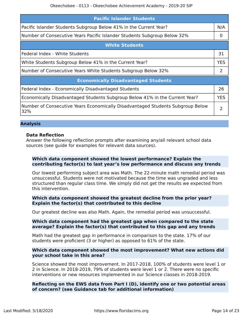| <b>Pacific Islander Students</b>                                                      |            |
|---------------------------------------------------------------------------------------|------------|
| Pacific Islander Students Subgroup Below 41% in the Current Year?                     | N/A        |
| Number of Consecutive Years Pacific Islander Students Subgroup Below 32%              | 0          |
| <b>White Students</b>                                                                 |            |
| Federal Index - White Students                                                        | 31         |
| White Students Subgroup Below 41% in the Current Year?                                | <b>YES</b> |
| Number of Consecutive Years White Students Subgroup Below 32%                         | 2          |
| <b>Economically Disadvantaged Students</b>                                            |            |
| Federal Index - Economically Disadvantaged Students                                   | 26         |
| Economically Disadvantaged Students Subgroup Below 41% in the Current Year?           | <b>YES</b> |
| Number of Consecutive Years Economically Disadvantaged Students Subgroup Below<br>32% | 2          |

#### **Analysis**

#### **Data Reflection**

Answer the following reflection prompts after examining any/all relevant school data sources (see guide for examples for relevant data sources).

#### **Which data component showed the lowest performance? Explain the contributing factor(s) to last year's low performance and discuss any trends**

Our lowest performing subject area was Math. The 22-minute math remedial period was unsuccessful. Students were not motivated because the time was ungraded and less structured than regular class time. We simply did not get the results we expected from this intervention.

#### **Which data component showed the greatest decline from the prior year? Explain the factor(s) that contributed to this decline**

Our greatest decline was also Math. Again, the remedial period was unsuccessful.

#### **Which data component had the greatest gap when compared to the state average? Explain the factor(s) that contributed to this gap and any trends**

Math had the greatest gap in performance in comparison to the state. 17% of our students were proficient (3 or higher) as opposed to 61% of the state.

#### **Which data component showed the most improvement? What new actions did your school take in this area?**

Science showed the most improvement. In 2017-2018, 100% of students were level 1 or 2 in Science. In 2018-2019, 79% of students were level 1 or 2. There were no specific interventions or new resources implemented in our Science classes in 2018-2019.

#### **Reflecting on the EWS data from Part I (D), identify one or two potential areas of concern? (see Guidance tab for additional information)**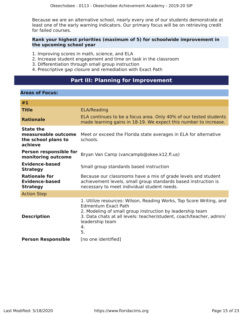Because we are an alternative school, nearly every one of our students demonstrate at least one of the early warning indicators. Our primary focus will be on retrieving credit for failed courses.

#### **Rank your highest priorities (maximum of 5) for schoolwide improvement in the upcoming school year**

- 1. Improving scores in math, science, and ELA
- 2. Increase student engagement and time on task in the classroom
- 3. Differentiation through small group instruction
- 4. Prescriptive gap closure and remediation with Exact Path

# **Part III: Planning for Improvement**

#### <span id="page-14-0"></span>**Areas of Focus:**

| #1                                                                        |                                                                                                                                                                                                                                                                      |
|---------------------------------------------------------------------------|----------------------------------------------------------------------------------------------------------------------------------------------------------------------------------------------------------------------------------------------------------------------|
| <b>Title</b>                                                              | <b>ELA/Reading</b>                                                                                                                                                                                                                                                   |
| <b>Rationale</b>                                                          | ELA continues to be a focus area. Only 40% of our tested students<br>made learning gains in 18-19. We expect this number to increase.                                                                                                                                |
| <b>State the</b><br>measureable outcome<br>the school plans to<br>achieve | Meet or exceed the Florida state averages in ELA for alternative<br>schools.                                                                                                                                                                                         |
| <b>Person responsible for</b><br>monitoring outcome                       | Bryan Van Camp (vancampb@okee.k12.fl.us)                                                                                                                                                                                                                             |
| <b>Evidence-based</b><br><b>Strategy</b>                                  | Small group standards based instruction                                                                                                                                                                                                                              |
| <b>Rationale for</b><br><b>Evidence-based</b><br><b>Strategy</b>          | Because our classrooms have a mix of grade levels and student<br>achievement levels, small group standards based instruction is<br>necessary to meet individual student needs.                                                                                       |
| <b>Action Step</b>                                                        |                                                                                                                                                                                                                                                                      |
| <b>Description</b>                                                        | 1. Utilize resources: Wilson, Reading Works, Top Score Writing, and<br><b>Edmentum Exact Path</b><br>2. Modeling of small group instruction by leadership team<br>3. Data chats at all levels: teacher/student, coach/teacher, admin/<br>leadership team<br>4.<br>5. |
| <b>Person Responsible</b>                                                 | [no one identified]                                                                                                                                                                                                                                                  |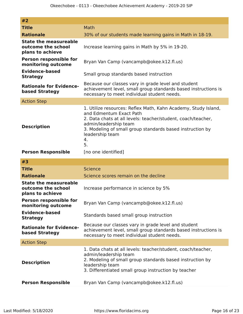| #2                                                                     |                                                                                                                                                                                                                                                                                |
|------------------------------------------------------------------------|--------------------------------------------------------------------------------------------------------------------------------------------------------------------------------------------------------------------------------------------------------------------------------|
| <b>Title</b>                                                           | Math                                                                                                                                                                                                                                                                           |
| <b>Rationale</b>                                                       | 30% of our students made learning gains in Math in 18-19.                                                                                                                                                                                                                      |
| <b>State the measureable</b><br>outcome the school<br>plans to achieve | Increase learning gains in Math by 5% in 19-20.                                                                                                                                                                                                                                |
| <b>Person responsible for</b><br>monitoring outcome                    | Bryan Van Camp (vancampb@okee.k12.fl.us)                                                                                                                                                                                                                                       |
| <b>Evidence-based</b><br><b>Strategy</b>                               | Small group standards based instruction                                                                                                                                                                                                                                        |
| <b>Rationale for Evidence-</b><br>based Strategy                       | Because our classes vary in grade level and student<br>achievement level, small group standards based instructions is<br>necessary to meet individual student needs.                                                                                                           |
| <b>Action Step</b>                                                     |                                                                                                                                                                                                                                                                                |
| <b>Description</b>                                                     | 1. Utilize resources: Reflex Math, Kahn Academy, Study Island,<br>and Edmentum Exact Path<br>2. Data chats at all levels: teacher/student, coach/teacher,<br>admin/leadership team<br>3. Modeling of small group standards based instruction by<br>leadership team<br>4.<br>5. |
| <b>Person Responsible</b>                                              | [no one identified]                                                                                                                                                                                                                                                            |
| #3                                                                     |                                                                                                                                                                                                                                                                                |
| <b>Title</b>                                                           | <b>Science</b>                                                                                                                                                                                                                                                                 |
| <b>Rationale</b>                                                       | Science scores remain on the decline                                                                                                                                                                                                                                           |
| <b>State the measureable</b><br>outcome the school<br>plans to achieve | Increase performance in science by 5%                                                                                                                                                                                                                                          |
| Person responsible for<br>monitoring outcome                           | Bryan Van Camp (vancampb@okee.k12.fl.us)                                                                                                                                                                                                                                       |
| <b>Evidence-based</b><br><b>Strategy</b>                               | Standards based small group instruction                                                                                                                                                                                                                                        |
| <b>Rationale for Evidence-</b><br>based Strategy                       | Because our classes vary in grade level and student<br>achievement level, small group standards based instructions is<br>necessary to meet individual student needs.                                                                                                           |
| <b>Action Step</b>                                                     |                                                                                                                                                                                                                                                                                |
|                                                                        | 1. Data chats at all levels: teacher/student, coach/teacher,                                                                                                                                                                                                                   |

| leadership team                                      |  |  |  |
|------------------------------------------------------|--|--|--|
| 3. Differentiated small group instruction by teacher |  |  |  |

2. Modeling of small group standards based instruction by

| <b>Person Responsible</b> | Bryan Van Camp (vancampb@okee.k12.fl.us) |
|---------------------------|------------------------------------------|
|---------------------------|------------------------------------------|

admin/leadership team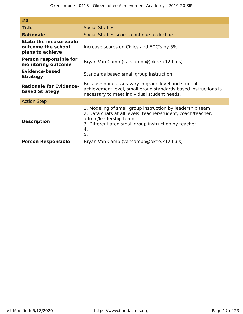| #4                                                              |                                                                                                                                                                                                                        |
|-----------------------------------------------------------------|------------------------------------------------------------------------------------------------------------------------------------------------------------------------------------------------------------------------|
| <b>Title</b>                                                    | <b>Social Studies</b>                                                                                                                                                                                                  |
| <b>Rationale</b>                                                | Social Studies scores continue to decline                                                                                                                                                                              |
| State the measureable<br>outcome the school<br>plans to achieve | Increase scores on Civics and EOC's by 5%                                                                                                                                                                              |
| <b>Person responsible for</b><br>monitoring outcome             | Bryan Van Camp (vancampb@okee.k12.fl.us)                                                                                                                                                                               |
| <b>Evidence-based</b><br><b>Strategy</b>                        | Standards based small group instruction                                                                                                                                                                                |
| <b>Rationale for Evidence-</b><br>based Strategy                | Because our classes vary in grade level and student<br>achievement level, small group standards based instructions is<br>necessary to meet individual student needs.                                                   |
| <b>Action Step</b>                                              |                                                                                                                                                                                                                        |
| <b>Description</b>                                              | 1. Modeling of small group instruction by leadership team<br>2. Data chats at all levels: teacher/student, coach/teacher,<br>admin/leadership team<br>3. Differentiated small group instruction by teacher<br>4.<br>5. |
| <b>Person Responsible</b>                                       | Bryan Van Camp (vancampb@okee.k12.fl.us)                                                                                                                                                                               |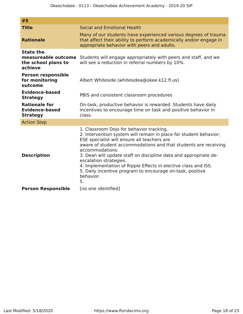| #5                                                                        |                                                                                                                                                                                                                                                                                                                                                                                                                                                                                                    |
|---------------------------------------------------------------------------|----------------------------------------------------------------------------------------------------------------------------------------------------------------------------------------------------------------------------------------------------------------------------------------------------------------------------------------------------------------------------------------------------------------------------------------------------------------------------------------------------|
| <b>Title</b>                                                              | Social and Emotional Health                                                                                                                                                                                                                                                                                                                                                                                                                                                                        |
| <b>Rationale</b>                                                          | Many of our students have experienced various degrees of trauma<br>that affect their ability to perform academically and/or engage in<br>appropriate behavior with peers and adults.                                                                                                                                                                                                                                                                                                               |
| <b>State the</b><br>measureable outcome<br>the school plans to<br>achieve | Students will engage appropriately with peers and staff, and we<br>will see a reduction in referral numbers by 10%.                                                                                                                                                                                                                                                                                                                                                                                |
| <b>Person responsible</b><br>for monitoring<br>outcome                    | Albert Whiteside (whitesidea@okee.k12.fl.us)                                                                                                                                                                                                                                                                                                                                                                                                                                                       |
| <b>Evidence-based</b><br><b>Strategy</b>                                  | PBIS and consistent classroom procedures                                                                                                                                                                                                                                                                                                                                                                                                                                                           |
| <b>Rationale for</b><br><b>Evidence-based</b><br><b>Strategy</b>          | On-task, productive behavior is rewarded. Students have daily<br>incentives to encourage time on task and positive behavior in<br>class.                                                                                                                                                                                                                                                                                                                                                           |
| <b>Action Step</b>                                                        |                                                                                                                                                                                                                                                                                                                                                                                                                                                                                                    |
| <b>Description</b>                                                        | 1. Classroom Dojo for behavior tracking.<br>2. Intervention system will remain in place for student behavior;<br>ESE specialist will ensure all teachers are<br>aware of student accommodations and that students are receiving<br>accommodations.<br>3. Dean will update staff on discipline data and appropriate de-<br>escalation strategies.<br>4. Implementation of Ripple Effects in elective class and ISS.<br>5. Daily incentive program to encourage on-task, positive<br>behavior.<br>5. |
| <b>Person Responsible</b>                                                 | [no one identified]                                                                                                                                                                                                                                                                                                                                                                                                                                                                                |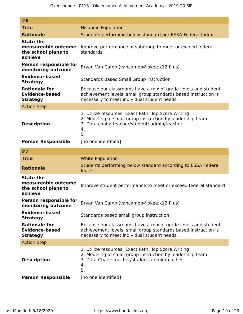| #6                                                                        |                                                                                                                                                                                |
|---------------------------------------------------------------------------|--------------------------------------------------------------------------------------------------------------------------------------------------------------------------------|
| <b>Title</b>                                                              | <b>Hispanic Population</b>                                                                                                                                                     |
| <b>Rationale</b>                                                          | Students performing below standard per ESSA Federal Index                                                                                                                      |
| <b>State the</b><br>measureable outcome<br>the school plans to<br>achieve | Improve performance of subgroup to meet or exceed federal<br>standards                                                                                                         |
| Person responsible for<br>monitoring outcome                              | Bryan Van Camp (vancampb@okee.k12.fl.us)                                                                                                                                       |
| <b>Evidence-based</b><br><b>Strategy</b>                                  | <b>Standards Based Small Group Instruction</b>                                                                                                                                 |
| <b>Rationale for</b><br><b>Evidence-based</b><br><b>Strategy</b>          | Because our classrooms have a mix of grade levels and student<br>achievement levels, small group standards based instruction is<br>necessary to meet individual student needs. |
| <b>Action Step</b>                                                        |                                                                                                                                                                                |
| <b>Description</b>                                                        | 1. Utilize resources: Exact Path, Top Score Writing<br>2. Modeling of small group instruction by leadership team<br>3. Data chats: teacher/student; admin/teacher<br>4.<br>5.  |
| <b>Person Responsible</b>                                                 | [no one identified]                                                                                                                                                            |
| #7                                                                        |                                                                                                                                                                                |
| <b>Title</b>                                                              | <b>White Population</b>                                                                                                                                                        |
| <b>Rationale</b>                                                          | Students performing below standard according to ESSA Federal<br>Index                                                                                                          |
| <b>State the</b><br>measureable outcome<br>the school plans to<br>achieve | Improve student performance to meet or exceed federal standard                                                                                                                 |
| <b>Person responsible for</b><br>monitoring outcome                       | Bryan Van Camp (vancampb@okee.k12.fl.us)                                                                                                                                       |
| <b>Evidence-based</b><br><b>Strategy</b>                                  | Standards based small group instruction                                                                                                                                        |
| <b>Rationale for</b><br><b>Evidence-based</b><br><b>Strategy</b>          | Because our classrooms have a mix of grade levels and student<br>achievement levels, small group standards based instruction is<br>necessary to meet individual student needs. |
| <b>Action Step</b>                                                        |                                                                                                                                                                                |
| <b>Description</b>                                                        | 1. Utilize resources: Exact Path, Top Score Writing<br>2. Modeling of small group instruction by leadership team<br>3. Data Chats: teacher/student; admin/teacher<br>4.<br>5.  |
| <b>Person Responsible</b>                                                 | [no one identified]                                                                                                                                                            |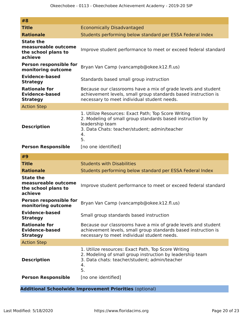| #8                                                                        |                                                                                                                                                                                                                         |
|---------------------------------------------------------------------------|-------------------------------------------------------------------------------------------------------------------------------------------------------------------------------------------------------------------------|
| <b>Title</b>                                                              | <b>Economically Disadvantaged</b>                                                                                                                                                                                       |
| <b>Rationale</b>                                                          | Students performing below standard per ESSA Federal Index                                                                                                                                                               |
| <b>State the</b><br>measureable outcome<br>the school plans to<br>achieve | Improve student performance to meet or exceed federal standard                                                                                                                                                          |
| <b>Person responsible for</b><br>monitoring outcome                       | Bryan Van Camp (vancampb@okee.k12.fl.us)                                                                                                                                                                                |
| <b>Evidence-based</b><br><b>Strategy</b>                                  | Standards based small group instruction                                                                                                                                                                                 |
| <b>Rationale for</b><br><b>Evidence-based</b><br><b>Strategy</b>          | Because our classrooms have a mix of grade levels and student<br>achievement levels, small group standards based instruction is<br>necessary to meet individual student needs.                                          |
| <b>Action Step</b>                                                        |                                                                                                                                                                                                                         |
| <b>Description</b><br><b>Person Responsible</b>                           | 1. Utilize Resources: Exact Path; Top Score Writing<br>2. Modeling of small group standards based instruction by<br>leadership team<br>3. Data Chats: teacher/student; admin/teacher<br>4.<br>5.<br>[no one identified] |
|                                                                           |                                                                                                                                                                                                                         |
| #9                                                                        |                                                                                                                                                                                                                         |
| <b>Title</b>                                                              | <b>Students with Disabilities</b>                                                                                                                                                                                       |
| <b>Rationale</b>                                                          | Students performing below standard per ESSA Federal Index                                                                                                                                                               |
| <b>State the</b><br>measureable outcome<br>the school plans to<br>achieve | Improve student performance to meet or exceed federal standard                                                                                                                                                          |
| Person responsible for<br>monitoring outcome                              | Bryan Van Camp (vancampb@okee.k12.fl.us)                                                                                                                                                                                |
| <b>Evidence-based</b><br><b>Strategy</b>                                  | Small group standards based instruction                                                                                                                                                                                 |
| <b>Rationale for</b><br><b>Evidence-based</b><br><b>Strategy</b>          | Because our classrooms have a mix of grade levels and student<br>achievement levels, small group standards based instruction is<br>necessary to meet individual student needs.                                          |
| <b>Action Step</b>                                                        |                                                                                                                                                                                                                         |
| <b>Description</b><br><b>Person Responsible</b>                           | 1. Utilize resources: Exact Path, Top Score Writing<br>2. Modeling of small group instruction by leadership team<br>3. Data chats: teacher/student; admin/teacher<br>4.<br>5.<br>[no one identified]                    |

**Additional Schoolwide Improvement Priorities** (optional)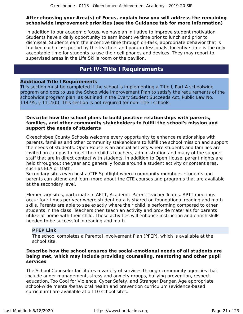#### **After choosing your Area(s) of Focus, explain how you will address the remaining schoolwide improvement priorities (see the Guidance tab for more information)**

In addition to our academic focus, we have an initiative to improve student motivation. Students have a daily opportunity to earn incentive time prior to lunch and prior to dismissal. Students earn the incentive time through on-task, appropriate behavior that is tracked each class period by the teachers and paraprofessionals. Incentive time is the only acceptable time for students to use their cell phones and devices. They may report to supervised areas in the Life Skills room or the pavilion.

## **Part IV: Title I Requirements**

#### <span id="page-20-0"></span>**Additional Title I Requirements**

This section must be completed if the school is implementing a Title I, Part A schoolwide program and opts to use the Schoolwide Improvement Plan to satisfy the requirements of the schoolwide program plan, as outlined in the Every Student Succeeds Act, Public Law No. 114-95, § 1114(b). This section is not required for non-Title I schools.

#### **Describe how the school plans to build positive relationships with parents, families, and other community stakeholders to fulfill the school's mission and support the needs of students**

Okeechobee County Schools welcome every opportunity to enhance relationships with parents, families and other community stakeholders to fulfill the school mission and support the needs of students. Open House is an annual activity where students and families are invited on campus to meet their child's teachers, administration and many of the support staff that are in direct contact with students. In addition to Open House, parent nights are held throughout the year and generally focus around a student activity or content area, such as ELA or Math.

Secondary sites even host a CTE Spotlight where community members, students and parents can attend and learn more about the CTE courses and programs that are available at the secondary level.

Elementary sites, participate in APTT, Academic Parent Teacher Teams. APTT meetings occur four times per year where student data is shared on foundational reading and math skills. Parents are able to see exactly where their child is performing compared to other students in the class. Teachers then teach an activity and provide materials for parents utilize at home with their child. These activities will enhance instruction and enrich skills needed to be successful in reading and math.

#### **PFEP Link**

The school completes a Parental Involvement Plan (PFEP), which is available at the school site.

#### **Describe how the school ensures the social-emotional needs of all students are being met, which may include providing counseling, mentoring and other pupil services**

The School Counselor facilitates a variety of services through community agencies that include anger management, stress and anxiety groups, bullying prevention, respect education, Too Cool for Violence, Cyber Safety, and Stranger Danger. Age appropriate school-wide mental/behavioral health and prevention curriculum (evidence-based curriculum) are available at all 10 school sites.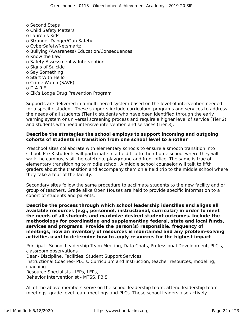o Second Steps o Child Safety Matters o Lauren's Kids o Stranger Danger/Gun Safety o CyberSafety/Netsmartz o Bullying (Awareness) Education/Consequences o Know the Law o Safety Assessment & Intervention o Signs of Suicide o Say Something o Start With Hello o Crime Watch (SAVE) o D.A.R.E. o Elk's Lodge Drug Prevention Program

Supports are delivered in a multi-tiered system based on the level of intervention needed for a specific student. These supports include curriculum, programs and services to address the needs of all students (Tier I); students who have been identified through the early warning system or universal screening process and require a higher level of service (Tier 2); and students who need intensive intervention and services (Tier 3).

#### **Describe the strategies the school employs to support incoming and outgoing cohorts of students in transition from one school level to another**

Preschool sites collaborate with elementary schools to ensure a smooth transition into school. Pre-K students will participate in a field trip to their home school where they will walk the campus, visit the cafeteria, playground and front office. The same is true of elementary transitioning to middle school. A middle school counselor will talk to fifth graders about the transition and accompany them on a field trip to the middle school where they take a tour of the facility.

Secondary sites follow the same procedure to acclimate students to the new facility and or group of teachers. Grade alike Open Houses are held to provide specific information to a cohort of students and parents.

**Describe the process through which school leadership identifies and aligns all available resources (e.g., personnel, instructional, curricular) in order to meet the needs of all students and maximize desired student outcomes. Include the methodology for coordinating and supplementing federal, state and local funds, services and programs. Provide the person(s) responsible, frequency of meetings, how an inventory of resources is maintained and any problem-solving activities used to determine how to apply resources for the highest impact**

Principal - School Leadership Team Meeting, Data Chats, Professional Development, PLC's, classroom observations Dean- Discipline, Facilities, Student Support Services Instructional Coaches- PLC's, Curriculum and Instruction, teacher resources, modeling, coaching Resource Specialists - IEPs, LEPs, Behavior Interventionist - MTSS, PBIS

All of the above members serve on the school leadership team, attend leadership team meetings, grade-level team meetings and PLCs. These school leaders also actively